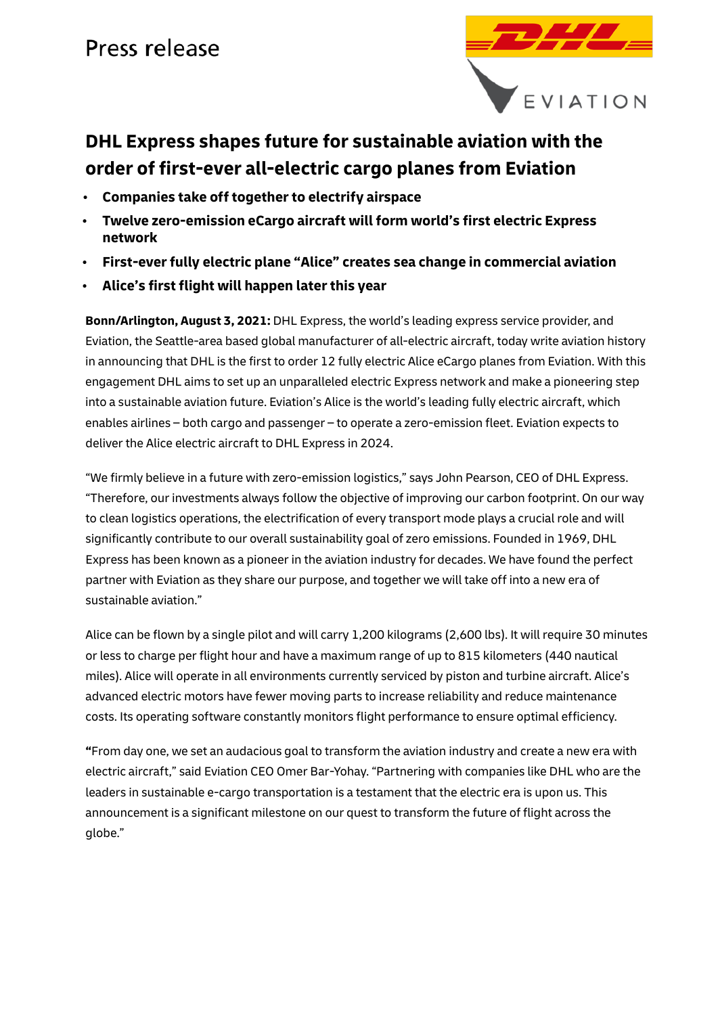## Press release



### **DHL Express shapes future for sustainable aviation with the order of first-ever all-electric cargo planes from Eviation**

- **Companies take off together to electrify airspace**
- **Twelve zero-emission eCargo aircraft will form world's first electric Express network**
- **First-ever fully electric plane "Alice" creates sea change in commercial aviation**
- **Alice's first flight will happen later this year**

**Bonn/Arlington, August 3, 2021:** DHL Express, the world's leading express service provider, and [Eviation,](https://www.eviation.co/) the Seattle-area based global manufacturer of all-electric aircraft, today write aviation history in announcing that DHL is the first to order 12 fully electric Alice eCargo planes from Eviation. With this engagement DHL aims to set up an unparalleled electric Express network and make a pioneering step into a sustainable aviation future. Eviation's Alice is the world's leading fully electric aircraft, which enables airlines – both cargo and passenger – to operate a zero-emission fleet. Eviation expects to deliver the Alice electric aircraft to DHL Express in 2024.

"We firmly believe in a future with zero-emission logistics," says John Pearson, CEO of DHL Express. "Therefore, our investments always follow the objective of improving our carbon footprint. On our way to clean logistics operations, the electrification of every transport mode plays a crucial role and will significantly contribute to our overall sustainability goal of zero emissions. Founded in 1969, DHL Express has been known as a pioneer in the aviation industry for decades. We have found the perfect partner with Eviation as they share our purpose, and together we will take off into a new era of sustainable aviation."

Alice can be flown by a single pilot and will carry 1,200 kilograms (2,600 lbs). It will require 30 minutes or less to charge per flight hour and have a maximum range of up to 815 kilometers (440 nautical miles). Alice will operate in all environments currently serviced by piston and turbine aircraft. Alice's advanced electric motors have fewer moving parts to increase reliability and reduce maintenance costs. Its operating software constantly monitors flight performance to ensure optimal efficiency.

**"**From day one, we set an audacious goal to transform the aviation industry and create a new era with electric aircraft," said Eviation CEO Omer Bar-Yohay. "Partnering with companies like DHL who are the leaders in sustainable e-cargo transportation is a testament that the electric era is upon us. This announcement is a significant milestone on our quest to transform the future of flight across the globe."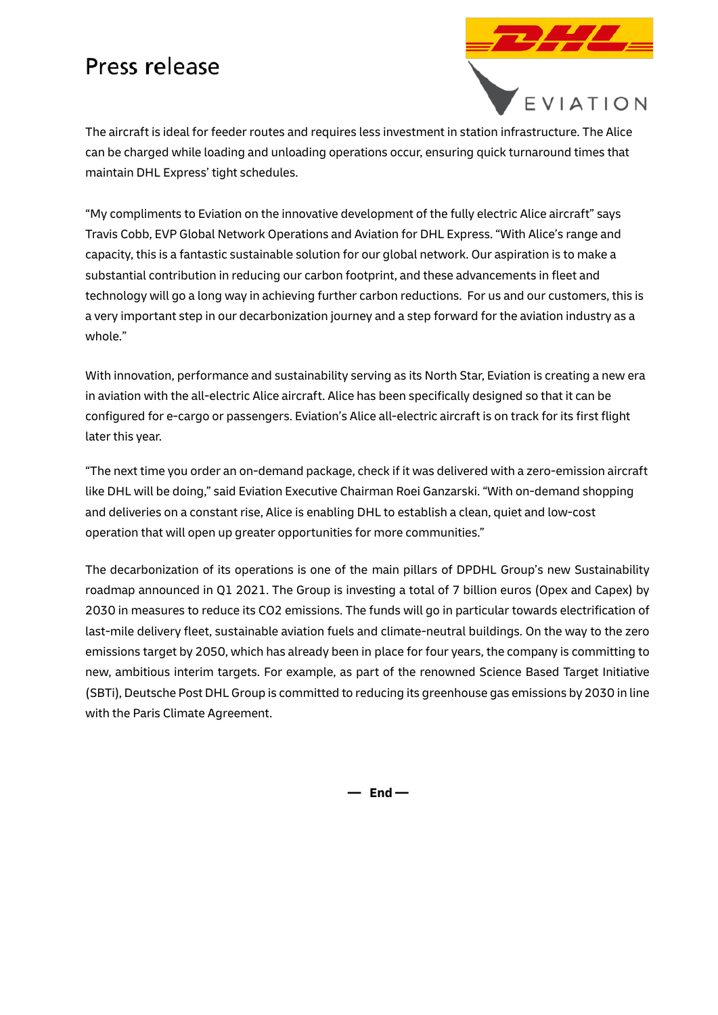## Press release



The aircraft is ideal for feeder routes and requires less investment in station infrastructure. The Alice can be charged while loading and unloading operations occur, ensuring quick turnaround times that maintain DHL Express' tight schedules.

"My compliments to Eviation on the innovative development of the fully electric Alice aircraft" says Travis Cobb, EVP Global Network Operations and Aviation for DHL Express. "With Alice's range and capacity, this is a fantastic sustainable solution for our global network. Our aspiration is to make a substantial contribution in reducing our carbon footprint, and these advancements in fleet and technology will go a long way in achieving further carbon reductions. For us and our customers, this is a very important step in our decarbonization journey and a step forward for the aviation industry as a whole."

With innovation, performance and sustainability serving as its North Star, Eviation is creating a new era in aviation with the all-electric Alice aircraft. Alice has been specifically designed so that it can be configured for e-cargo or passengers. Eviation's Alice all-electric aircraft is on track for its first flight later this year.

"The next time you order an on-demand package, check if it was delivered with a zero-emission aircraft like DHL will be doing," said Eviation Executive Chairman Roei Ganzarski. "With on-demand shopping and deliveries on a constant rise, Alice is enabling DHL to establish a clean, quiet and low-cost operation that will open up greater opportunities for more communities."

The decarbonization of its operations is one of the main pillars of DPDHL Group's new Sustainability roadmap announced in Q1 2021. The Group is investing a total of 7 billion euros (Opex and Capex) by 2030 in measures to reduce its CO2 emissions. The funds will go in particular towards electrification of last-mile delivery fleet, sustainable aviation fuels and climate-neutral buildings. On the way to the zero emissions target by 2050, which has already been in place for four years, the company is committing to new, ambitious interim targets. For example, as part of the renowned Science Based Target Initiative (SBTi), Deutsche Post DHL Group is committed to reducing its greenhouse gas emissions by 2030 in line with the Paris Climate Agreement.

**— End —**